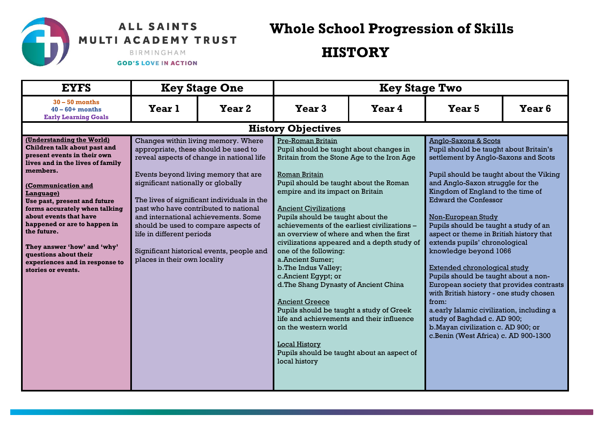## ALL SAINTS MULTI ACADEMY TRUST

**Whole School Progression of Skills** 

**HISTORY** 

## BIRMINGHAM

## **GOD'S LOVE IN ACTION**

| <b>EYFS</b>                                                                                                                                                                                                                                                                                                                                                                                                                           | <b>Key Stage One</b>                                                                                                                                                                                                                                                                                                                                                                                                                                                                     |        | <b>Key Stage Two</b>                                                                                                                                                                                                                                                                                                                                                                                                                                                                                                                                                                                                                                                                                                                                                                           |        |                                                                                                                                                                                                                                                                                                                                                                                                                                                                                                                                                                                                                                                                                                                                                                             |                   |
|---------------------------------------------------------------------------------------------------------------------------------------------------------------------------------------------------------------------------------------------------------------------------------------------------------------------------------------------------------------------------------------------------------------------------------------|------------------------------------------------------------------------------------------------------------------------------------------------------------------------------------------------------------------------------------------------------------------------------------------------------------------------------------------------------------------------------------------------------------------------------------------------------------------------------------------|--------|------------------------------------------------------------------------------------------------------------------------------------------------------------------------------------------------------------------------------------------------------------------------------------------------------------------------------------------------------------------------------------------------------------------------------------------------------------------------------------------------------------------------------------------------------------------------------------------------------------------------------------------------------------------------------------------------------------------------------------------------------------------------------------------------|--------|-----------------------------------------------------------------------------------------------------------------------------------------------------------------------------------------------------------------------------------------------------------------------------------------------------------------------------------------------------------------------------------------------------------------------------------------------------------------------------------------------------------------------------------------------------------------------------------------------------------------------------------------------------------------------------------------------------------------------------------------------------------------------------|-------------------|
| $30 - 50$ months<br>$40 - 60 +$ months<br><b>Early Learning Goals</b>                                                                                                                                                                                                                                                                                                                                                                 | Year 1                                                                                                                                                                                                                                                                                                                                                                                                                                                                                   | Year 2 | Year <sub>3</sub>                                                                                                                                                                                                                                                                                                                                                                                                                                                                                                                                                                                                                                                                                                                                                                              | Year 4 | Year <sub>5</sub>                                                                                                                                                                                                                                                                                                                                                                                                                                                                                                                                                                                                                                                                                                                                                           | Year <sub>6</sub> |
|                                                                                                                                                                                                                                                                                                                                                                                                                                       |                                                                                                                                                                                                                                                                                                                                                                                                                                                                                          |        | <b>History Objectives</b>                                                                                                                                                                                                                                                                                                                                                                                                                                                                                                                                                                                                                                                                                                                                                                      |        |                                                                                                                                                                                                                                                                                                                                                                                                                                                                                                                                                                                                                                                                                                                                                                             |                   |
| (Understanding the World)<br>Children talk about past and<br>present events in their own<br>lives and in the lives of family<br>members.<br>(Communication and<br>Language)<br>Use past, present and future<br>forms accurately when talking<br>about events that have<br>happened or are to happen in<br>the future.<br>They answer 'how' and 'why'<br>questions about their<br>experiences and in response to<br>stories or events. | Changes within living memory. Where<br>appropriate, these should be used to<br>reveal aspects of change in national life<br>Events beyond living memory that are<br>significant nationally or globally<br>The lives of significant individuals in the<br>past who have contributed to national<br>and international achievements, Some<br>should be used to compare aspects of<br>life in different periods<br>Significant historical events, people and<br>places in their own locality |        | Pre-Roman Britain<br>Pupil should be taught about changes in<br>Britain from the Stone Age to the Iron Age<br>Roman Britain<br>Pupil should be taught about the Roman<br>empire and its impact on Britain<br><b>Ancient Civilizations</b><br>Pupils should be taught about the<br>achievements of the earliest civilizations -<br>an overview of where and when the first<br>civilizations appeared and a depth study of<br>one of the following:<br>a.Ancient Sumer;<br>b. The Indus Valley;<br>c.Ancient Egypt; or<br>d. The Shang Dynasty of Ancient China<br><b>Ancient Greece</b><br>Pupils should be taught a study of Greek<br>life and achievements and their influence<br>on the western world<br><b>Local History</b><br>Pupils should be taught about an aspect of<br>local history |        | <b>Anglo-Saxons &amp; Scots</b><br>Pupil should be taught about Britain's<br>settlement by Anglo-Saxons and Scots<br>Pupil should be taught about the Viking<br>and Anglo-Saxon struggle for the<br>Kingdom of England to the time of<br><b>Edward the Confessor</b><br>Non-European Study<br>Pupils should be taught a study of an<br>aspect or theme in British history that<br>extends pupils' chronological<br>knowledge beyond 1066<br>Extended chronological study<br>Pupils should be taught about a non-<br>European society that provides contrasts<br>with British history - one study chosen<br>from:<br>a.early Islamic civilization, including a<br>study of Baghdad c. AD 900;<br>b. Mayan civilization c. AD 900; or<br>c.Benin (West Africa) c. AD 900-1300 |                   |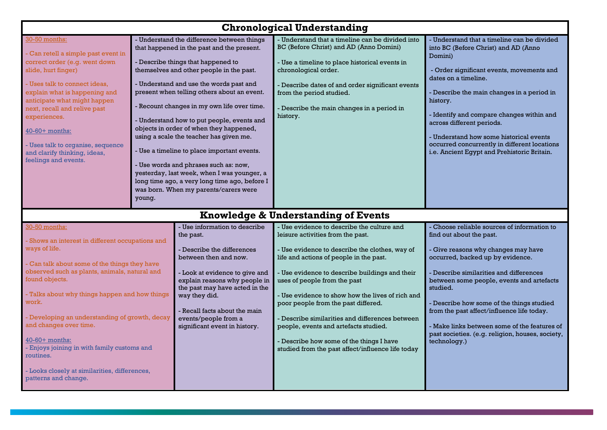| <b>Chronological Understanding</b>                                                                                                                                                                                                                                                                                                                                                                                                                                                                                |                                                                                                                                                                                                                                                                                                                                                                                                                                                                                                                                                                                                                                                                                                    |                                                                                                                                                                                                                                                                                                      |                                                                                                                                                                                                                                                                                                                                                                                                                                                                                                                                                        |                                                                                                                                                                                                                                                                                                                                                                                                                                                                       |  |
|-------------------------------------------------------------------------------------------------------------------------------------------------------------------------------------------------------------------------------------------------------------------------------------------------------------------------------------------------------------------------------------------------------------------------------------------------------------------------------------------------------------------|----------------------------------------------------------------------------------------------------------------------------------------------------------------------------------------------------------------------------------------------------------------------------------------------------------------------------------------------------------------------------------------------------------------------------------------------------------------------------------------------------------------------------------------------------------------------------------------------------------------------------------------------------------------------------------------------------|------------------------------------------------------------------------------------------------------------------------------------------------------------------------------------------------------------------------------------------------------------------------------------------------------|--------------------------------------------------------------------------------------------------------------------------------------------------------------------------------------------------------------------------------------------------------------------------------------------------------------------------------------------------------------------------------------------------------------------------------------------------------------------------------------------------------------------------------------------------------|-----------------------------------------------------------------------------------------------------------------------------------------------------------------------------------------------------------------------------------------------------------------------------------------------------------------------------------------------------------------------------------------------------------------------------------------------------------------------|--|
| 30-50 months:<br>Can retell a simple past event in<br>correct order (e.g. went down<br>slide, hurt finger)<br>- Uses talk to connect ideas.<br>explain what is happening and<br>anticipate what might happen<br>next, recall and relive past<br>experiences.<br>40-60+ months:<br>- Uses talk to organise, sequence<br>and clarify thinking, ideas,<br>feelings and events.                                                                                                                                       | - Understand the difference between things<br>that happened in the past and the present.<br>- Describe things that happened to<br>themselves and other people in the past.<br>- Understand and use the words past and<br>present when telling others about an event.<br>- Recount changes in my own life over time.<br>- Understand how to put people, events and<br>objects in order of when they happened,<br>using a scale the teacher has given me.<br>- Use a timeline to place important events.<br>- Use words and phrases such as: now,<br>yesterday, last week, when I was younger, a<br>long time ago, a very long time ago, before I<br>was born. When my parents/carers were<br>young. |                                                                                                                                                                                                                                                                                                      | - Understand that a timeline can be divided into<br>BC (Before Christ) and AD (Anno Domini)<br>- Use a timeline to place historical events in<br>chronological order.<br>- Describe dates of and order significant events<br>from the period studied.<br>- Describe the main changes in a period in<br>history.                                                                                                                                                                                                                                        | - Understand that a timeline can be divided<br>into BC (Before Christ) and AD (Anno<br>Domini)<br>- Order significant events, movements and<br>dates on a timeline.<br>- Describe the main changes in a period in<br>history.<br>- Identify and compare changes within and<br>across different periods.<br>- Understand how some historical events<br>occurred concurrently in different locations<br>i.e. Ancient Egypt and Prehistoric Britain.                     |  |
|                                                                                                                                                                                                                                                                                                                                                                                                                                                                                                                   |                                                                                                                                                                                                                                                                                                                                                                                                                                                                                                                                                                                                                                                                                                    |                                                                                                                                                                                                                                                                                                      | Knowledge & Understanding of Events                                                                                                                                                                                                                                                                                                                                                                                                                                                                                                                    |                                                                                                                                                                                                                                                                                                                                                                                                                                                                       |  |
| 30-50 months:<br>the past.<br>- Shows an interest in different occupations and<br>ways of life.<br>- Can talk about some of the things they have<br>observed such as plants, animals, natural and<br>found objects.<br>- Talks about why things happen and how things<br>work.<br>- Developing an understanding of growth, decay<br>and changes over time.<br>40-60+ months:<br>- Enjoys joining in with family customs and<br>routines.<br>- Looks closely at similarities, differences,<br>patterns and change. |                                                                                                                                                                                                                                                                                                                                                                                                                                                                                                                                                                                                                                                                                                    | - Use information to describe<br>- Describe the differences<br>between then and now.<br>- Look at evidence to give and<br>explain reasons why people in<br>the past may have acted in the<br>way they did.<br>- Recall facts about the main<br>events/people from a<br>significant event in history. | - Use evidence to describe the culture and<br>leisure activities from the past.<br>- Use evidence to describe the clothes, way of<br>life and actions of people in the past.<br>- Use evidence to describe buildings and their<br>uses of people from the past<br>- Use evidence to show how the lives of rich and<br>poor people from the past differed.<br>- Describe similarities and differences between<br>people, events and artefacts studied.<br>- Describe how some of the things I have<br>studied from the past affect/influence life today | - Choose reliable sources of information to<br>find out about the past.<br>- Give reasons why changes may have<br>occurred, backed up by evidence.<br>- Describe similarities and differences<br>between some people, events and artefacts<br>studied.<br>- Describe how some of the things studied<br>from the past affect/influence life today.<br>- Make links between some of the features of<br>past societies. (e.g. religion, houses, society,<br>technology.) |  |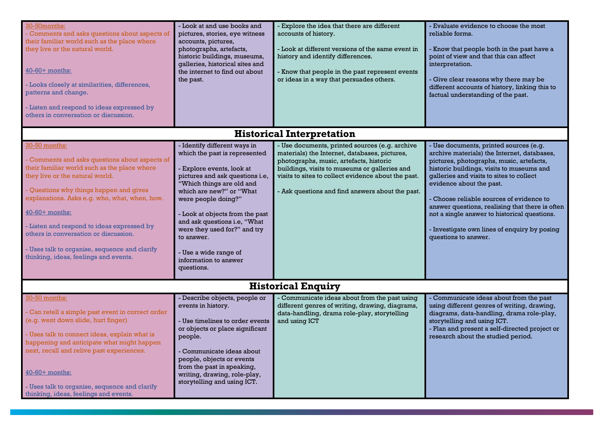| 30-50months:<br>Comments and asks questions about aspects of<br>their familiar world such as the place where<br>they live or the natural world.<br>40-60+ months:<br>- Looks closely at similarities, differences,<br>patterns and change.<br>- Listen and respond to ideas expressed by<br>others in conversation or discussion.                                                                                                               | - Look at and use books and<br>pictures, stories, eye witness<br>accounts, pictures,<br>photographs, artefacts,<br>historic buildings, museums,<br>galleries, historical sites and<br>the internet to find out about<br>the past.                                                                                                                                                              | Explore the idea that there are different<br>accounts of history.<br>- Look at different versions of the same event in<br>history and identify differences.<br>- Know that people in the past represent events<br>or ideas in a way that persuades others.                                             | - Evaluate evidence to choose the most<br>reliable forms.<br>Know that people both in the past have a<br>point of view and that this can affect<br>interpretation.<br>Give clear reasons why there may be<br>different accounts of history, linking this to<br>factual understanding of the past.                                                                                                                                                                           |  |  |  |
|-------------------------------------------------------------------------------------------------------------------------------------------------------------------------------------------------------------------------------------------------------------------------------------------------------------------------------------------------------------------------------------------------------------------------------------------------|------------------------------------------------------------------------------------------------------------------------------------------------------------------------------------------------------------------------------------------------------------------------------------------------------------------------------------------------------------------------------------------------|--------------------------------------------------------------------------------------------------------------------------------------------------------------------------------------------------------------------------------------------------------------------------------------------------------|-----------------------------------------------------------------------------------------------------------------------------------------------------------------------------------------------------------------------------------------------------------------------------------------------------------------------------------------------------------------------------------------------------------------------------------------------------------------------------|--|--|--|
|                                                                                                                                                                                                                                                                                                                                                                                                                                                 |                                                                                                                                                                                                                                                                                                                                                                                                | <b>Historical Interpretation</b>                                                                                                                                                                                                                                                                       |                                                                                                                                                                                                                                                                                                                                                                                                                                                                             |  |  |  |
| 30-50 months:<br>Comments and asks questions about aspects of<br>their familiar world such as the place where<br>they live or the natural world.<br>- Questions why things happen and gives<br>explanations. Asks e.g. who, what, when, how.<br>40-60+ months:<br>- Listen and respond to ideas expressed by<br>others in conversation or discussion.<br>- Uses talk to organise, sequence and clarify<br>thinking, ideas, feelings and events. | - Identify different ways in<br>which the past is represented<br>- Explore events, look at<br>pictures and ask questions i.e,<br>"Which things are old and<br>which are new?" or "What<br>were people doing?"<br>- Look at objects from the past<br>and ask questions i.e, "What<br>were they used for?" and try<br>to answer.<br>- Use a wide range of<br>information to answer<br>questions. | - Use documents, printed sources (e.g. archive<br>materials) the Internet, databases, pictures,<br>photographs, music, artefacts, historic<br>buildings, visits to museums or galleries and<br>visits to sites to collect evidence about the past.<br>- Ask questions and find answers about the past. | - Use documents, printed sources (e.g.<br>archive materials) the Internet, databases,<br>pictures, photographs, music, artefacts,<br>historic buildings, visits to museums and<br>galleries and visits to sites to collect<br>evidence about the past.<br>Choose reliable sources of evidence to<br>answer questions, realising that there is often<br>not a single answer to historical questions.<br>- Investigate own lines of enquiry by posing<br>questions to answer. |  |  |  |
| <b>Historical Enquiry</b>                                                                                                                                                                                                                                                                                                                                                                                                                       |                                                                                                                                                                                                                                                                                                                                                                                                |                                                                                                                                                                                                                                                                                                        |                                                                                                                                                                                                                                                                                                                                                                                                                                                                             |  |  |  |
| 30-50 months:<br>- Can retell a simple past event in correct order<br>(e.g. went down slide, hurt finger)<br>- Uses talk to connect ideas, explain what is<br>happening and anticipate what might happen<br>next, recall and relive past experiences.<br>40-60+ months:<br>- Uses talk to organise, sequence and clarify<br>thinking, ideas, feelings and events.                                                                               | - Describe objects, people or<br>events in history.<br>- Use timelines to order events<br>or objects or place significant<br>people.<br>- Communicate ideas about<br>people, objects or events<br>from the past in speaking,<br>writing, drawing, role-play,<br>storytelling and using ICT.                                                                                                    | Communicate ideas about from the past using<br>different genres of writing, drawing, diagrams,<br>data-handling, drama role-play, storytelling<br>and using ICT                                                                                                                                        | Communicate ideas about from the past<br>using different genres of writing, drawing,<br>diagrams, data-handling, drama role-play,<br>storytelling and using ICT.<br>- Plan and present a self-directed project or<br>research about the studied period.                                                                                                                                                                                                                     |  |  |  |